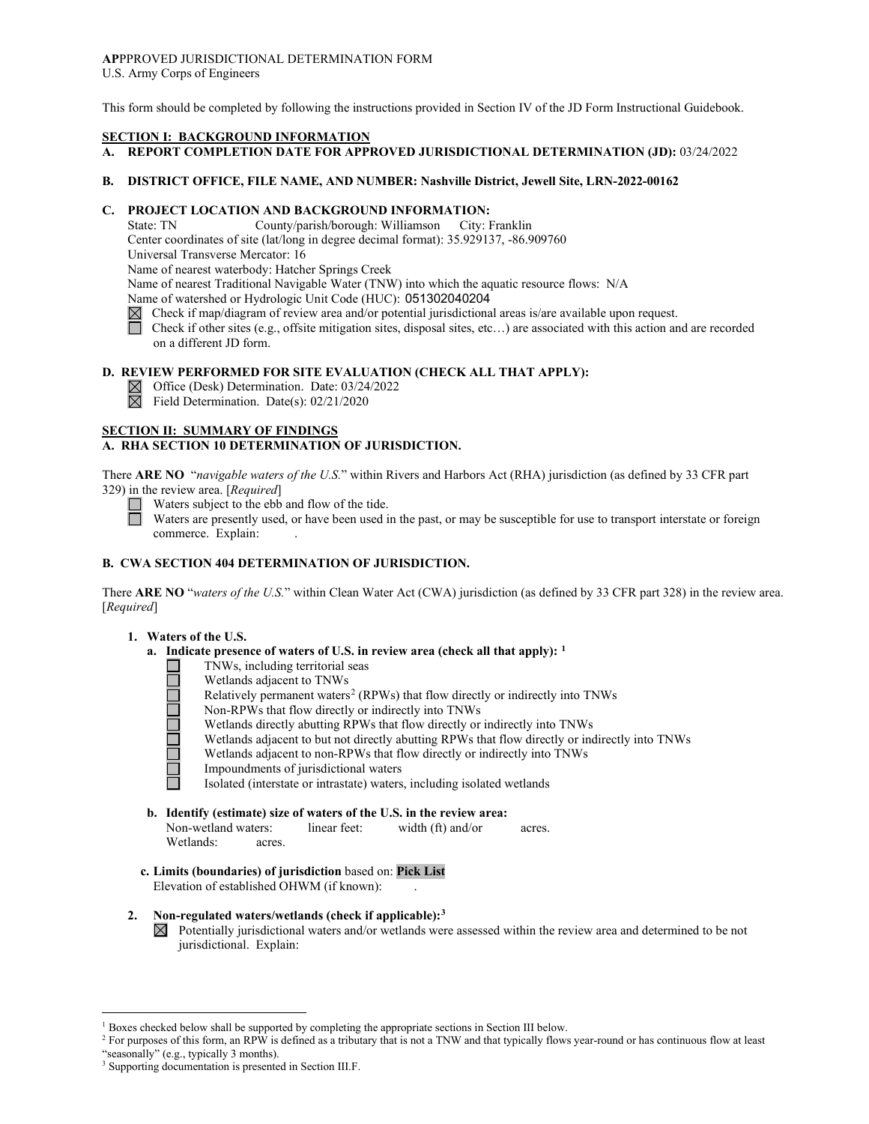#### **AP**PPROVED JURISDICTIONAL DETERMINATION FORM U.S. Army Corps of Engineers

This form should be completed by following the instructions provided in Section IV of the JD Form Instructional Guidebook.

### **SECTION I: BACKGROUND INFORMATION**

## **A. REPORT COMPLETION DATE FOR APPROVED JURISDICTIONAL DETERMINATION (JD):** 03/24/2022

#### **B. DISTRICT OFFICE, FILE NAME, AND NUMBER: Nashville District, Jewell Site, LRN-2022-00162**

## **C. PROJECT LOCATION AND BACKGROUND INFORMATION:**

State: TN County/parish/borough: Williamson City: Franklin

Center coordinates of site (lat/long in degree decimal format): 35.929137, -86.909760

Universal Transverse Mercator: 16

Name of nearest waterbody: Hatcher Springs Creek

Name of nearest Traditional Navigable Water (TNW) into which the aquatic resource flows: N/A

Name of watershed or Hydrologic Unit Code (HUC): 051302040204

- $\boxtimes$  Check if map/diagram of review area and/or potential jurisdictional areas is/are available upon request.
- Check if other sites (e.g., offsite mitigation sites, disposal sites, etc…) are associated with this action and are recorded on a different JD form.

# **D. REVIEW PERFORMED FOR SITE EVALUATION (CHECK ALL THAT APPLY):**

 $\boxtimes$  Office (Desk) Determination. Date: 03/24/2022

 $\boxtimes$  Field Determination. Date(s): 02/21/2020

## **SECTION II: SUMMARY OF FINDINGS**

## **A. RHA SECTION 10 DETERMINATION OF JURISDICTION.**

There **ARE NO** "*navigable waters of the U.S.*" within Rivers and Harbors Act (RHA) jurisdiction (as defined by 33 CFR part 329) in the review area. [*Required*]

Waters subject to the ebb and flow of the tide.

Waters are presently used, or have been used in the past, or may be susceptible for use to transport interstate or foreign commerce. Explain:

## **B. CWA SECTION 404 DETERMINATION OF JURISDICTION.**

There **ARE NO** "*waters of the U.S.*" within Clean Water Act (CWA) jurisdiction (as defined by 33 CFR part 328) in the review area. [*Required*]

### **1. Waters of the U.S.**

- **a. Indicate presence of waters of U.S. in review area (check all that apply): [1](#page-0-0)**
	- TNWs, including territorial seas
	- Wetlands adjacent to TNWs
	- Relatively permanent waters<sup>[2](#page-0-1)</sup> (RPWs) that flow directly or indirectly into TNWs П
	- Non-RPWs that flow directly or indirectly into TNWs
	- Wetlands directly abutting RPWs that flow directly or indirectly into TNWs
	- Wetlands adjacent to but not directly abutting RPWs that flow directly or indirectly into TNWs
		- Wetlands adjacent to non-RPWs that flow directly or indirectly into TNWs
	- Impoundments of jurisdictional waters

Isolated (interstate or intrastate) waters, including isolated wetlands

- **b. Identify (estimate) size of waters of the U.S. in the review area:** Non-wetland waters: linear feet: width (ft) and/or acres. Wetlands: acres.
- **c. Limits (boundaries) of jurisdiction** based on: **Pick List** Elevation of established OHWM (if known): .
- **2. Non-regulated waters/wetlands (check if applicable):[3](#page-0-2)**
	- $\boxtimes$  Potentially jurisdictional waters and/or wetlands were assessed within the review area and determined to be not jurisdictional. Explain:

<span id="page-0-0"></span><sup>&</sup>lt;sup>1</sup> Boxes checked below shall be supported by completing the appropriate sections in Section III below.

<span id="page-0-1"></span><sup>&</sup>lt;sup>2</sup> For purposes of this form, an RPW is defined as a tributary that is not a TNW and that typically flows year-round or has continuous flow at least "seasonally" (e.g., typically 3 months).

<span id="page-0-2"></span><sup>3</sup> Supporting documentation is presented in Section III.F.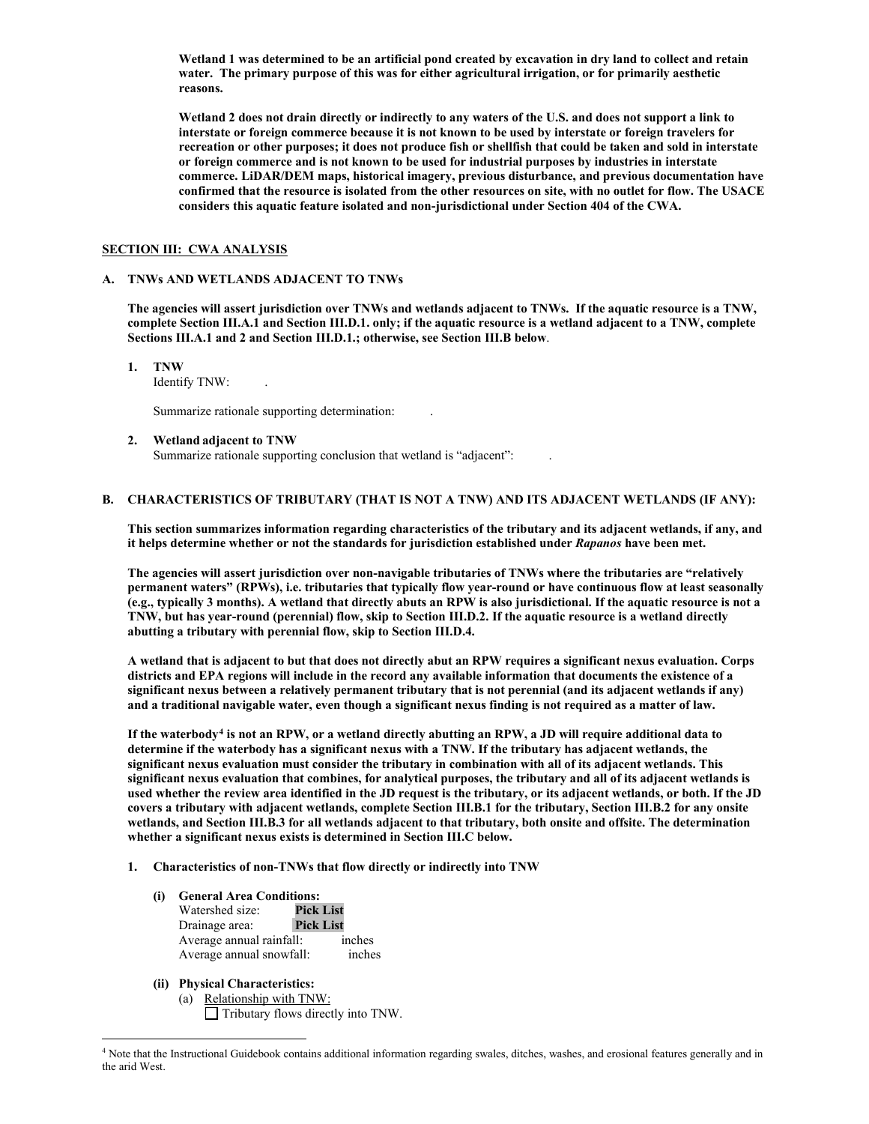**Wetland 1 was determined to be an artificial pond created by excavation in dry land to collect and retain water. The primary purpose of this was for either agricultural irrigation, or for primarily aesthetic reasons.** 

**Wetland 2 does not drain directly or indirectly to any waters of the U.S. and does not support a link to interstate or foreign commerce because it is not known to be used by interstate or foreign travelers for recreation or other purposes; it does not produce fish or shellfish that could be taken and sold in interstate or foreign commerce and is not known to be used for industrial purposes by industries in interstate commerce. LiDAR/DEM maps, historical imagery, previous disturbance, and previous documentation have confirmed that the resource is isolated from the other resources on site, with no outlet for flow. The USACE considers this aquatic feature isolated and non-jurisdictional under Section 404 of the CWA.**

#### **SECTION III: CWA ANALYSIS**

### **A. TNWs AND WETLANDS ADJACENT TO TNWs**

**The agencies will assert jurisdiction over TNWs and wetlands adjacent to TNWs. If the aquatic resource is a TNW, complete Section III.A.1 and Section III.D.1. only; if the aquatic resource is a wetland adjacent to a TNW, complete Sections III.A.1 and 2 and Section III.D.1.; otherwise, see Section III.B below**.

**1. TNW** 

Identify TNW: .

Summarize rationale supporting determination: .

#### **2. Wetland adjacent to TNW**

Summarize rationale supporting conclusion that wetland is "adjacent":

## **B. CHARACTERISTICS OF TRIBUTARY (THAT IS NOT A TNW) AND ITS ADJACENT WETLANDS (IF ANY):**

**This section summarizes information regarding characteristics of the tributary and its adjacent wetlands, if any, and it helps determine whether or not the standards for jurisdiction established under** *Rapanos* **have been met.** 

**The agencies will assert jurisdiction over non-navigable tributaries of TNWs where the tributaries are "relatively permanent waters" (RPWs), i.e. tributaries that typically flow year-round or have continuous flow at least seasonally (e.g., typically 3 months). A wetland that directly abuts an RPW is also jurisdictional. If the aquatic resource is not a TNW, but has year-round (perennial) flow, skip to Section III.D.2. If the aquatic resource is a wetland directly abutting a tributary with perennial flow, skip to Section III.D.4.** 

**A wetland that is adjacent to but that does not directly abut an RPW requires a significant nexus evaluation. Corps districts and EPA regions will include in the record any available information that documents the existence of a significant nexus between a relatively permanent tributary that is not perennial (and its adjacent wetlands if any) and a traditional navigable water, even though a significant nexus finding is not required as a matter of law.**

**If the waterbody[4](#page-1-0) is not an RPW, or a wetland directly abutting an RPW, a JD will require additional data to determine if the waterbody has a significant nexus with a TNW. If the tributary has adjacent wetlands, the significant nexus evaluation must consider the tributary in combination with all of its adjacent wetlands. This significant nexus evaluation that combines, for analytical purposes, the tributary and all of its adjacent wetlands is used whether the review area identified in the JD request is the tributary, or its adjacent wetlands, or both. If the JD covers a tributary with adjacent wetlands, complete Section III.B.1 for the tributary, Section III.B.2 for any onsite wetlands, and Section III.B.3 for all wetlands adjacent to that tributary, both onsite and offsite. The determination whether a significant nexus exists is determined in Section III.C below.** 

- **1. Characteristics of non-TNWs that flow directly or indirectly into TNW**
	- **(i) General Area Conditions:**

| Watershed size:          | <b>Pick List</b> |        |
|--------------------------|------------------|--------|
| Drainage area:           | <b>Pick List</b> |        |
| Average annual rainfall: |                  | inches |
| Average annual snowfall: |                  | inches |

- **(ii) Physical Characteristics:**
	- (a) Relationship with TNW: Tributary flows directly into TNW.

<span id="page-1-0"></span><sup>&</sup>lt;sup>4</sup> Note that the Instructional Guidebook contains additional information regarding swales, ditches, washes, and erosional features generally and in the arid West.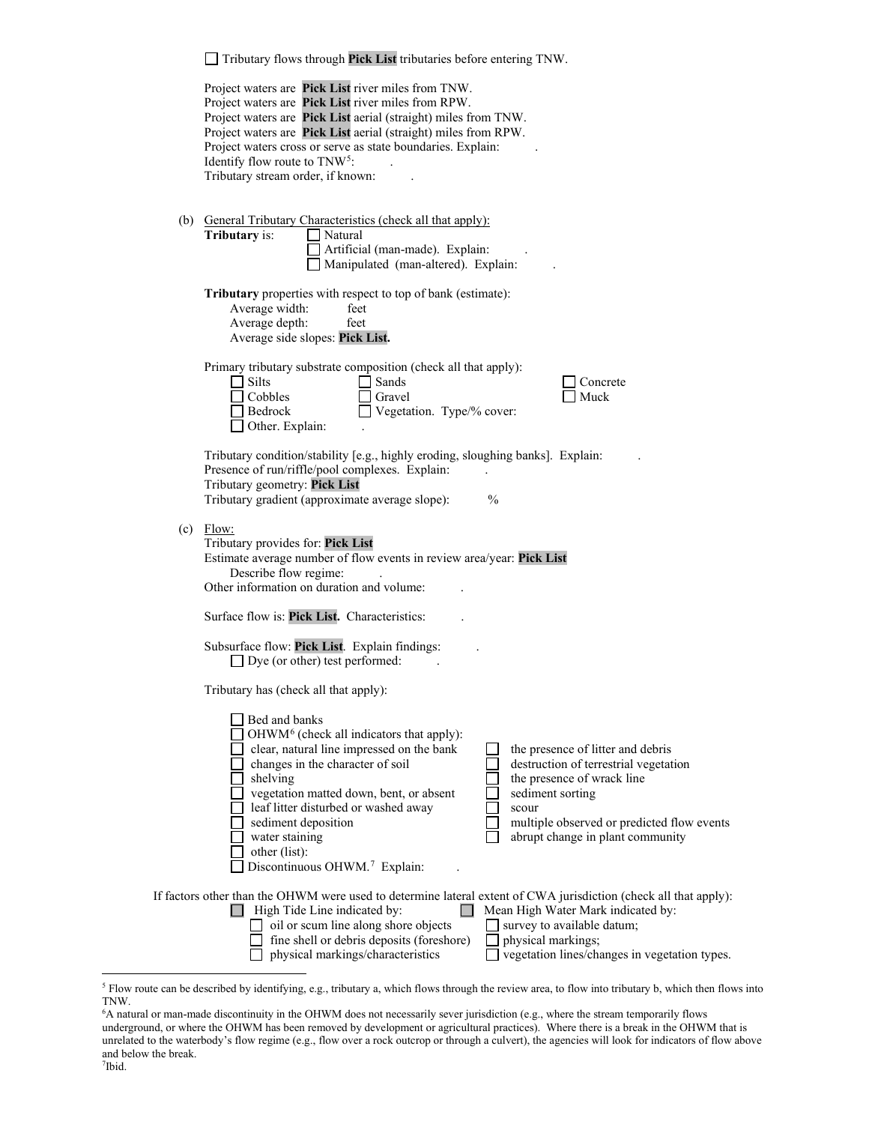| Tributary flows through Pick List tributaries before entering TNW.                                                                                                                                                                                                                                                                                                                                                                                                                                                                                                                      |
|-----------------------------------------------------------------------------------------------------------------------------------------------------------------------------------------------------------------------------------------------------------------------------------------------------------------------------------------------------------------------------------------------------------------------------------------------------------------------------------------------------------------------------------------------------------------------------------------|
| Project waters are Pick List river miles from TNW.<br>Project waters are Pick List river miles from RPW.<br>Project waters are Pick List aerial (straight) miles from TNW.<br>Project waters are Pick List aerial (straight) miles from RPW.<br>Project waters cross or serve as state boundaries. Explain:<br>Identify flow route to TNW <sup>5</sup> :<br>Tributary stream order, if known:                                                                                                                                                                                           |
| (b) General Tributary Characteristics (check all that apply):<br><b>Tributary</b> is:<br>$\Box$ Natural<br>Artificial (man-made). Explain:<br>Manipulated (man-altered). Explain:                                                                                                                                                                                                                                                                                                                                                                                                       |
| <b>Tributary</b> properties with respect to top of bank (estimate):<br>Average width:<br>feet<br>Average depth:<br>feet<br>Average side slopes: Pick List.                                                                                                                                                                                                                                                                                                                                                                                                                              |
| Primary tributary substrate composition (check all that apply):<br>$\Box$ Silts<br>Sands<br>Concrete<br>Cobbles<br>Muck<br>Gravel<br>$\Box$ Bedrock<br>Vegetation. Type/% cover:<br>Other. Explain:                                                                                                                                                                                                                                                                                                                                                                                     |
| Tributary condition/stability [e.g., highly eroding, sloughing banks]. Explain:<br>Presence of run/riffle/pool complexes. Explain:<br>Tributary geometry: Pick List<br>Tributary gradient (approximate average slope):<br>$\frac{0}{0}$                                                                                                                                                                                                                                                                                                                                                 |
| $(c)$ Flow:<br>Tributary provides for: Pick List<br>Estimate average number of flow events in review area/year: Pick List<br>Describe flow regime:<br>Other information on duration and volume:                                                                                                                                                                                                                                                                                                                                                                                         |
| Surface flow is: Pick List. Characteristics:                                                                                                                                                                                                                                                                                                                                                                                                                                                                                                                                            |
| Subsurface flow: Pick List. Explain findings:<br>$\Box$ Dye (or other) test performed:                                                                                                                                                                                                                                                                                                                                                                                                                                                                                                  |
| Tributary has (check all that apply):                                                                                                                                                                                                                                                                                                                                                                                                                                                                                                                                                   |
| Bed and banks<br>OHWM <sup>6</sup> (check all indicators that apply):<br>clear, natural line impressed on the bank<br>the presence of litter and debris<br>changes in the character of soil<br>destruction of terrestrial vegetation<br>shelving<br>the presence of wrack line<br>vegetation matted down, bent, or absent<br>sediment sorting<br>leaf litter disturbed or washed away<br>scour<br>sediment deposition<br>multiple observed or predicted flow events<br>abrupt change in plant community<br>water staining<br>other (list):<br>Discontinuous OHWM. <sup>7</sup> Explain: |
| If factors other than the OHWM were used to determine lateral extent of CWA jurisdiction (check all that apply):<br>$\sim 10$<br>$\Box$ High Tide Line indicated by:<br>Mean High Water Mark indicated by:                                                                                                                                                                                                                                                                                                                                                                              |
| oil or scum line along shore objects<br>survey to available datum;<br>fine shell or debris deposits (foreshore)<br>physical markings;<br>physical markings/characteristics<br>vegetation lines/changes in vegetation types.                                                                                                                                                                                                                                                                                                                                                             |

<span id="page-2-0"></span><sup>&</sup>lt;sup>5</sup> Flow route can be described by identifying, e.g., tributary a, which flows through the review area, to flow into tributary b, which then flows into TNW.

<span id="page-2-2"></span><span id="page-2-1"></span><sup>6</sup> A natural or man-made discontinuity in the OHWM does not necessarily sever jurisdiction (e.g., where the stream temporarily flows underground, or where the OHWM has been removed by development or agricultural practices). Where there is a break in the OHWM that is unrelated to the waterbody's flow regime (e.g., flow over a rock outcrop or through a culvert), the agencies will look for indicators of flow above and below the break.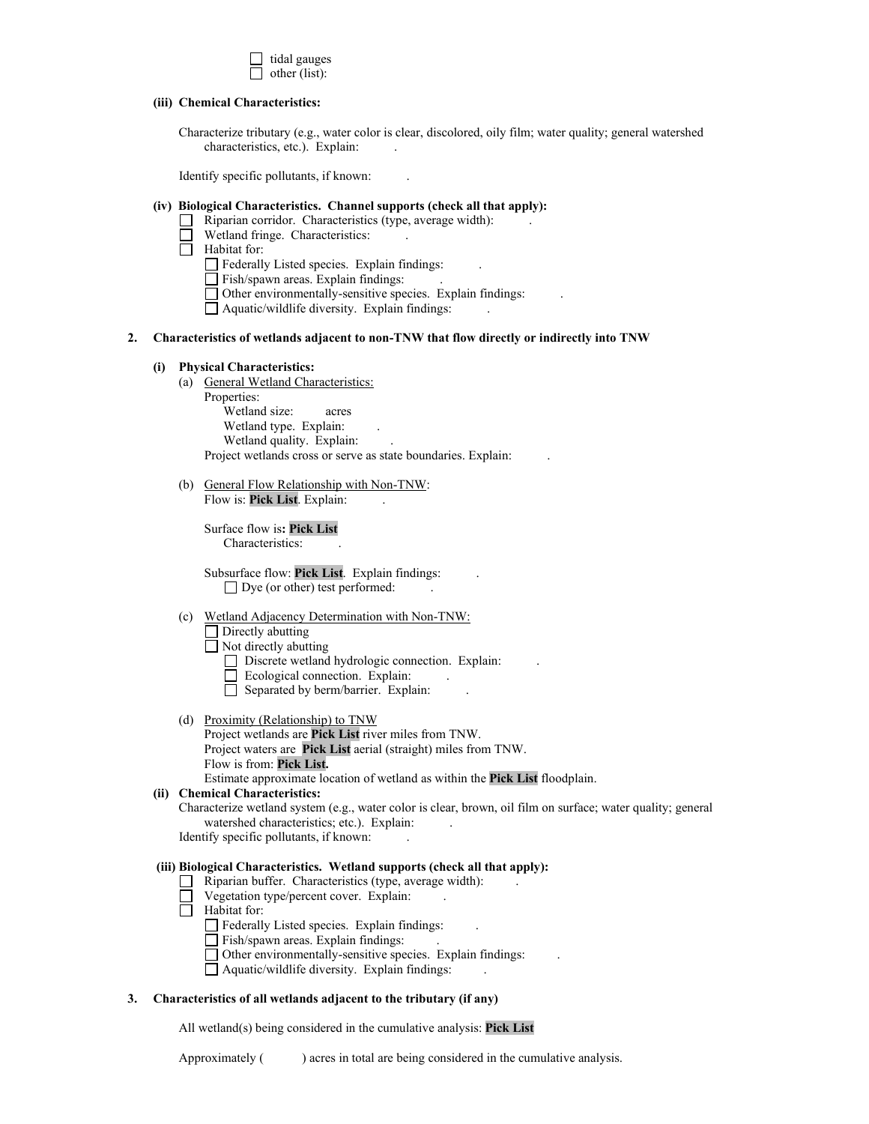

#### **(iii) Chemical Characteristics:**

Characterize tributary (e.g., water color is clear, discolored, oily film; water quality; general watershed characteristics, etc.). Explain:

Identify specific pollutants, if known: .

### **(iv) Biological Characteristics. Channel supports (check all that apply):**

- $\Box$ Riparian corridor. Characteristics (type, average width): .
	- Wetland fringe. Characteristics:
- Habitat for:
	- Federally Listed species. Explain findings:
	- Fish/spawn areas. Explain findings: .
	- Other environmentally-sensitive species. Explain findings: .
	- $\Box$  Aquatic/wildlife diversity. Explain findings:

#### **2. Characteristics of wetlands adjacent to non-TNW that flow directly or indirectly into TNW**

#### **(i) Physical Characteristics:**

(a) General Wetland Characteristics:

Properties: Wetland size: acres Wetland type. Explain: Wetland quality. Explain: Project wetlands cross or serve as state boundaries. Explain: .

(b) General Flow Relationship with Non-TNW: Flow is: Pick List. Explain:

> Surface flow is**: Pick List**  Characteristics: .

Subsurface flow: **Pick List**. Explain findings: .  $\Box$  Dye (or other) test performed:

#### (c) Wetland Adjacency Determination with Non-TNW:

## $\Box$  Directly abutting

Not directly abutting

Discrete wetland hydrologic connection. Explain: .

- Ecological connection. Explain: .
- Separated by berm/barrier. Explain: .
- (d) Proximity (Relationship) to TNW
	- Project wetlands are **Pick List** river miles from TNW. Project waters are **Pick List** aerial (straight) miles from TNW.
	- Flow is from: **Pick List.**

Estimate approximate location of wetland as within the **Pick List** floodplain.

#### **(ii) Chemical Characteristics:**

Characterize wetland system (e.g., water color is clear, brown, oil film on surface; water quality; general watershed characteristics; etc.). Explain:

Identify specific pollutants, if known:

### **(iii) Biological Characteristics. Wetland supports (check all that apply):**

- $\Box$  Riparian buffer. Characteristics (type, average width):
- $\Box$  Vegetation type/percent cover. Explain:
- Habitat for:
	- $\Box$  Federally Listed species. Explain findings:
	- $\Box$  Fish/spawn areas. Explain findings:
	- $\Box$  Other environmentally-sensitive species. Explain findings:
	- $\Box$  Aquatic/wildlife diversity. Explain findings:

#### **3. Characteristics of all wetlands adjacent to the tributary (if any)**

All wetland(s) being considered in the cumulative analysis: **Pick List**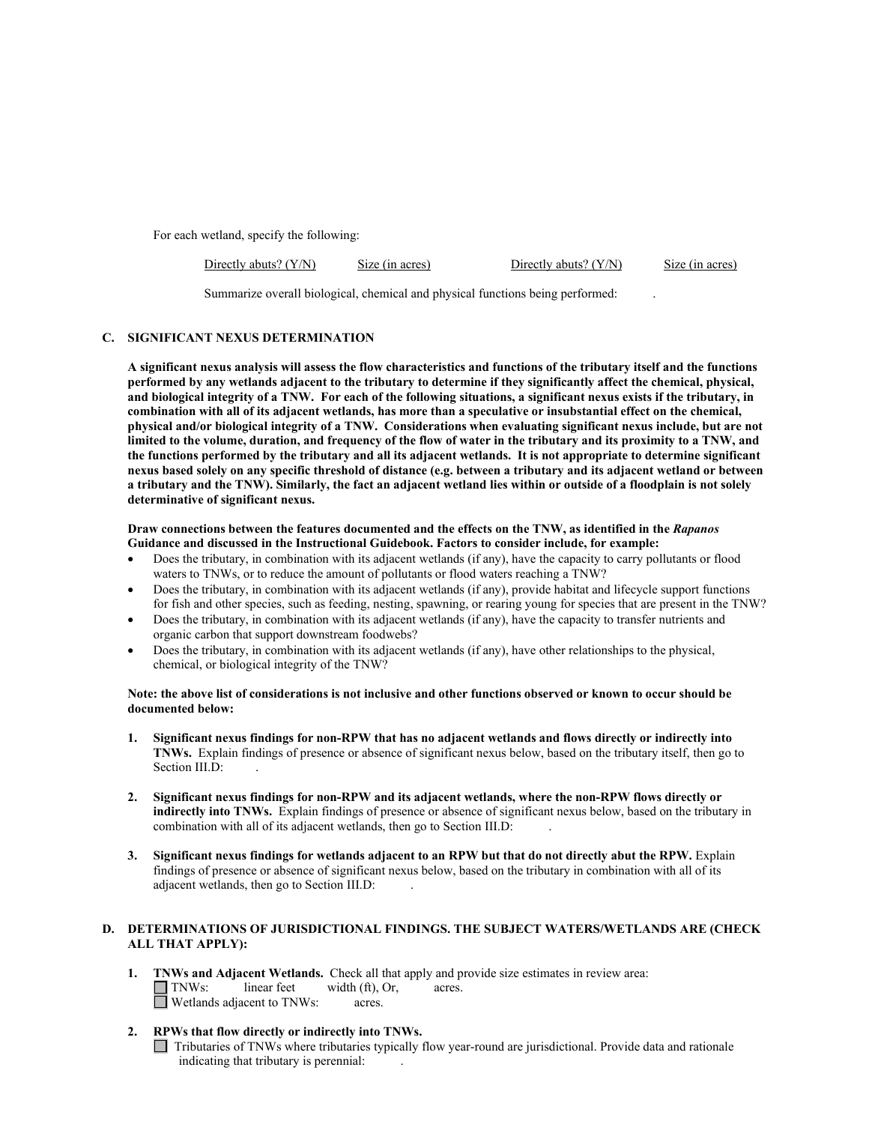For each wetland, specify the following:

| Directly abuts? $(Y/N)$ | Size (in acres) | Directly abuts? $(Y/N)$ | Size (in acres) |
|-------------------------|-----------------|-------------------------|-----------------|
|                         |                 |                         |                 |

Summarize overall biological, chemical and physical functions being performed: .

### **C. SIGNIFICANT NEXUS DETERMINATION**

**A significant nexus analysis will assess the flow characteristics and functions of the tributary itself and the functions performed by any wetlands adjacent to the tributary to determine if they significantly affect the chemical, physical, and biological integrity of a TNW. For each of the following situations, a significant nexus exists if the tributary, in combination with all of its adjacent wetlands, has more than a speculative or insubstantial effect on the chemical, physical and/or biological integrity of a TNW. Considerations when evaluating significant nexus include, but are not limited to the volume, duration, and frequency of the flow of water in the tributary and its proximity to a TNW, and the functions performed by the tributary and all its adjacent wetlands. It is not appropriate to determine significant nexus based solely on any specific threshold of distance (e.g. between a tributary and its adjacent wetland or between a tributary and the TNW). Similarly, the fact an adjacent wetland lies within or outside of a floodplain is not solely determinative of significant nexus.** 

#### **Draw connections between the features documented and the effects on the TNW, as identified in the** *Rapanos* **Guidance and discussed in the Instructional Guidebook. Factors to consider include, for example:**

- Does the tributary, in combination with its adjacent wetlands (if any), have the capacity to carry pollutants or flood waters to TNWs, or to reduce the amount of pollutants or flood waters reaching a TNW?
- Does the tributary, in combination with its adjacent wetlands (if any), provide habitat and lifecycle support functions for fish and other species, such as feeding, nesting, spawning, or rearing young for species that are present in the TNW?
- Does the tributary, in combination with its adjacent wetlands (if any), have the capacity to transfer nutrients and organic carbon that support downstream foodwebs?
- Does the tributary, in combination with its adjacent wetlands (if any), have other relationships to the physical, chemical, or biological integrity of the TNW?

#### **Note: the above list of considerations is not inclusive and other functions observed or known to occur should be documented below:**

- **1. Significant nexus findings for non-RPW that has no adjacent wetlands and flows directly or indirectly into TNWs.** Explain findings of presence or absence of significant nexus below, based on the tributary itself, then go to Section III.D:
- **2. Significant nexus findings for non-RPW and its adjacent wetlands, where the non-RPW flows directly or indirectly into TNWs.** Explain findings of presence or absence of significant nexus below, based on the tributary in combination with all of its adjacent wetlands, then go to Section III.D:
- **3. Significant nexus findings for wetlands adjacent to an RPW but that do not directly abut the RPW.** Explain findings of presence or absence of significant nexus below, based on the tributary in combination with all of its adjacent wetlands, then go to Section III.D: .

## **D. DETERMINATIONS OF JURISDICTIONAL FINDINGS. THE SUBJECT WATERS/WETLANDS ARE (CHECK ALL THAT APPLY):**

- **1. TNWs and Adjacent Wetlands.** Check all that apply and provide size estimates in review area:  $\Box$  TNWs: linear feet width (ft), Or, acres. Wetlands adjacent to TNWs: acres.
- **2. RPWs that flow directly or indirectly into TNWs.**
	- Tributaries of TNWs where tributaries typically flow year-round are jurisdictional. Provide data and rationale indicating that tributary is perennial: .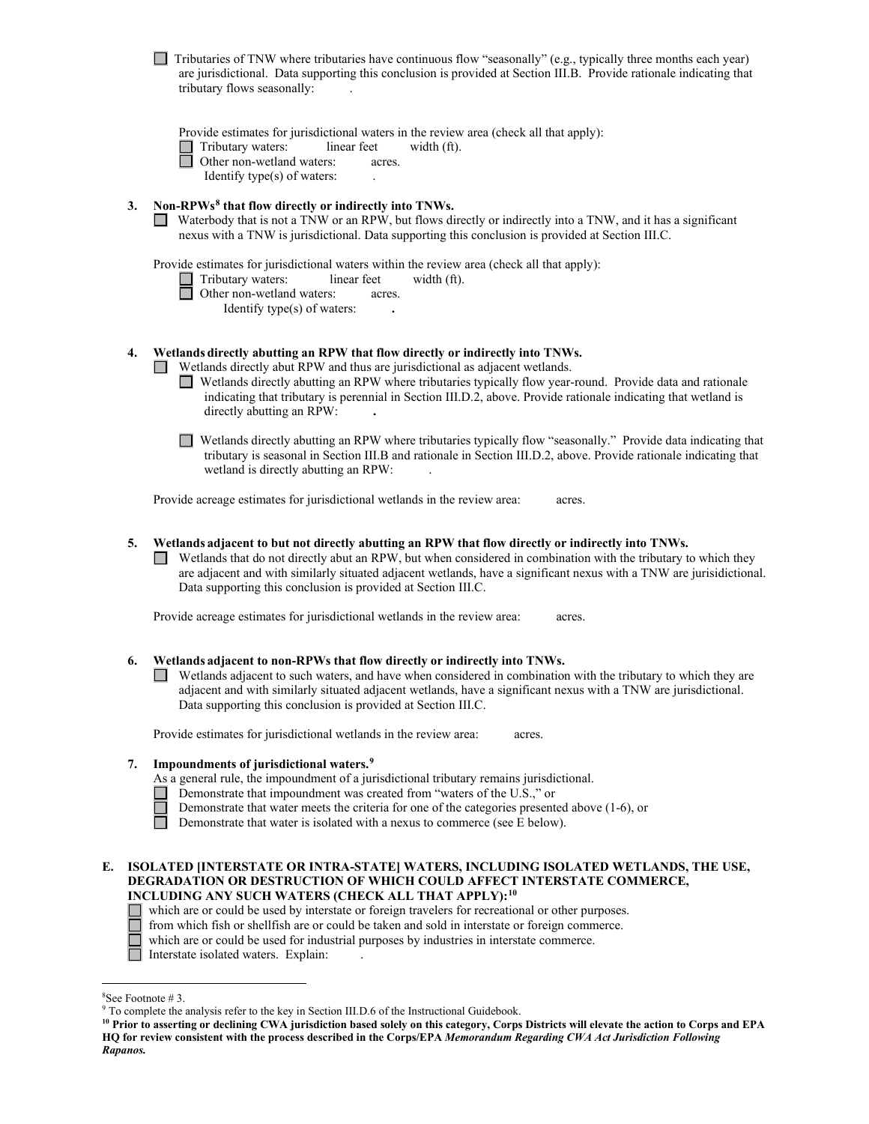|    | Tributaries of TNW where tributaries have continuous flow "seasonally" (e.g., typically three months each year)<br>are jurisdictional. Data supporting this conclusion is provided at Section III.B. Provide rationale indicating that<br>tributary flows seasonally:                                                                                                                                                     |
|----|---------------------------------------------------------------------------------------------------------------------------------------------------------------------------------------------------------------------------------------------------------------------------------------------------------------------------------------------------------------------------------------------------------------------------|
|    | Provide estimates for jurisdictional waters in the review area (check all that apply):<br>Tributary waters:<br>linear feet<br>width (ft).<br>Other non-wetland waters:<br>acres.<br>Identify type(s) of waters:                                                                                                                                                                                                           |
| 3. | Non-RPWs <sup>8</sup> that flow directly or indirectly into TNWs.<br>Waterbody that is not a TNW or an RPW, but flows directly or indirectly into a TNW, and it has a significant<br>nexus with a TNW is jurisdictional. Data supporting this conclusion is provided at Section III.C.                                                                                                                                    |
|    | Provide estimates for jurisdictional waters within the review area (check all that apply):<br>Tributary waters:<br>linear feet<br>width (ft).<br>Other non-wetland waters:<br>acres.<br>Identify type(s) of waters:                                                                                                                                                                                                       |
| 4. | Wetlands directly abutting an RPW that flow directly or indirectly into TNWs.<br>Wetlands directly abut RPW and thus are jurisdictional as adjacent wetlands.<br>Wetlands directly abutting an RPW where tributaries typically flow year-round. Provide data and rationale<br>indicating that tributary is perennial in Section III.D.2, above. Provide rationale indicating that wetland is<br>directly abutting an RPW: |
|    | Wetlands directly abutting an RPW where tributaries typically flow "seasonally." Provide data indicating that<br>tributary is seasonal in Section III.B and rationale in Section III.D.2, above. Provide rationale indicating that<br>wetland is directly abutting an RPW:                                                                                                                                                |
|    | Provide acreage estimates for jurisdictional wetlands in the review area:<br>acres.                                                                                                                                                                                                                                                                                                                                       |
| 5. | Wetlands adjacent to but not directly abutting an RPW that flow directly or indirectly into TNWs.<br>Wetlands that do not directly abut an RPW, but when considered in combination with the tributary to which they<br>are adjacent and with similarly situated adjacent wetlands, have a significant nexus with a TNW are jurisidictional.<br>Data supporting this conclusion is provided at Section III.C.              |
|    | Provide acreage estimates for jurisdictional wetlands in the review area:<br>acres.                                                                                                                                                                                                                                                                                                                                       |

#### **6. Wetlands adjacent to non-RPWs that flow directly or indirectly into TNWs.**

Wetlands adjacent to such waters, and have when considered in combination with the tributary to which they are adjacent and with similarly situated adjacent wetlands, have a significant nexus with a TNW are jurisdictional. Data supporting this conclusion is provided at Section III.C.

Provide estimates for jurisdictional wetlands in the review area: acres.

## **7. Impoundments of jurisdictional waters.[9](#page-5-1)**

As a general rule, the impoundment of a jurisdictional tributary remains jurisdictional.

- Demonstrate that impoundment was created from "waters of the U.S.," or<br>Demonstrate that water meets the criteria for one of the categories presented Demonstrate that water meets the criteria for one of the categories presented above (1-6), or
- Demonstrate that water is isolated with a nexus to commerce (see  $\overline{E}$  below).

### **E. ISOLATED [INTERSTATE OR INTRA-STATE] WATERS, INCLUDING ISOLATED WETLANDS, THE USE, DEGRADATION OR DESTRUCTION OF WHICH COULD AFFECT INTERSTATE COMMERCE, INCLUDING ANY SUCH WATERS (CHECK ALL THAT APPLY):[10](#page-5-2)**

- which are or could be used by interstate or foreign travelers for recreational or other purposes.
- $\Box$  from which fish or shellfish are or could be taken and sold in interstate or foreign commerce.

which are or could be used for industrial purposes by industries in interstate commerce.

□ Interstate isolated waters. Explain:

<span id="page-5-0"></span><sup>&</sup>lt;sup>8</sup>See Footnote #3.

 $9$  To complete the analysis refer to the key in Section III.D.6 of the Instructional Guidebook.

<span id="page-5-2"></span><span id="page-5-1"></span>**<sup>10</sup> Prior to asserting or declining CWA jurisdiction based solely on this category, Corps Districts will elevate the action to Corps and EPA HQ for review consistent with the process described in the Corps/EPA** *Memorandum Regarding CWA Act Jurisdiction Following Rapanos.*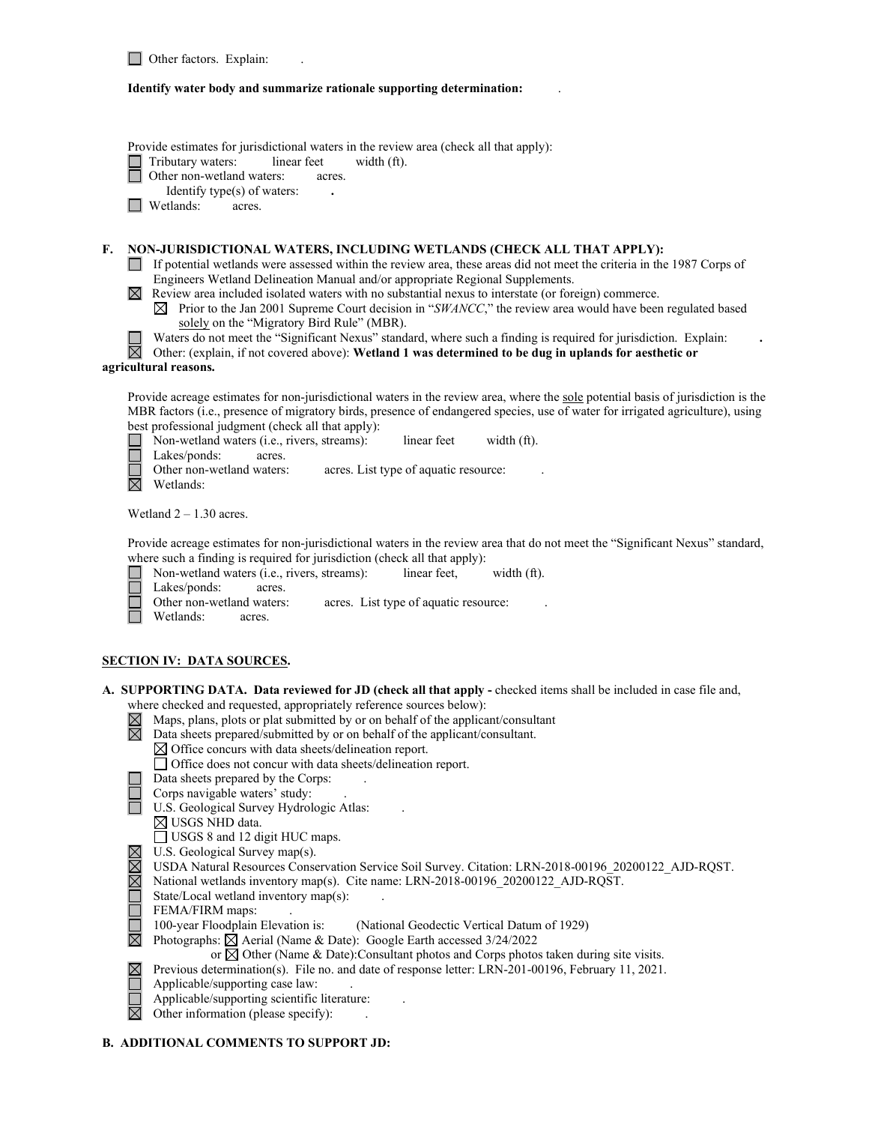#### **Identify water body and summarize rationale supporting determination:** .

Provide estimates for jurisdictional waters in the review area (check all that apply):

Tributary waters: linear feet width (ft).

**D** Other non-wetland waters: acres.

Identify type(s) of waters: **.**

**Wetlands:** acres.

## **F. NON-JURISDICTIONAL WATERS, INCLUDING WETLANDS (CHECK ALL THAT APPLY):**

- If potential wetlands were assessed within the review area, these areas did not meet the criteria in the 1987 Corps of Engineers Wetland Delineation Manual and/or appropriate Regional Supplements.
- Review area included isolated waters with no substantial nexus to interstate (or foreign) commerce.
	- $\boxtimes$  Prior to the Jan 2001 Supreme Court decision in "*SWANCC*," the review area would have been regulated based solely on the "Migratory Bird Rule" (MBR).
	- Waters do not meet the "Significant Nexus" standard, where such a finding is required for jurisdiction. Explain: **.**
- Other: (explain, if not covered above): **Wetland 1 was determined to be dug in uplands for aesthetic or agricultural reasons.**

Provide acreage estimates for non-jurisdictional waters in the review area, where the sole potential basis of jurisdiction is the MBR factors (i.e., presence of migratory birds, presence of endangered species, use of water for irrigated agriculture), using best professional judgment (check all that apply):

- **Non-wetland waters (i.e., rivers, streams):** linear feet width (ft).
- П Lakes/ponds: acres.

Other non-wetland waters: acres. List type of aquatic resource:

 $\overline{\boxtimes}$  Wetlands:

Wetland  $2 - 1.30$  acres.

Provide acreage estimates for non-jurisdictional waters in the review area that do not meet the "Significant Nexus" standard, where such a finding is required for jurisdiction (check all that apply):

- Non-wetland waters (i.e., rivers, streams): linear feet, width (ft).
- Lakes/ponds: acres.
- Other non-wetland waters: acres. List type of aquatic resource:
- Wetlands: acres.

## **SECTION IV: DATA SOURCES.**

- **A. SUPPORTING DATA. Data reviewed for JD (check all that apply -** checked items shall be included in case file and, where checked and requested, appropriately reference sources below):
	- $\boxtimes$  Maps, plans, plots or plat submitted by or on behalf of the applicant/consultant
	- $\boxtimes$ Data sheets prepared/submitted by or on behalf of the applicant/consultant.
		- $\boxtimes$  Office concurs with data sheets/delineation report.
		- Office does not concur with data sheets/delineation report.
		- Data sheets prepared by the Corps: .
		- Corps navigable waters' study: .
	- U.S. Geological Survey Hydrologic Atlas: .
		- $\boxtimes$  USGS NHD data.
		- USGS 8 and 12 digit HUC maps.
	- $\boxtimes$  U.S. Geological Survey map(s).
	- USDA Natural Resources Conservation Service Soil Survey. Citation: LRN-2018-00196\_20200122\_AJD-RQST.
	- $\boxtimes$  National wetlands inventory map(s). Cite name: LRN-2018-00196 20200122 AJD-RQST.
	- State/Local wetland inventory map(s):
	-

 $\boxtimes$ 

- FEMA/FIRM maps:<br>100-year Floodplain Elevation is: (National Geodectic Vertical Datum of 1929)
- $\boxtimes$  Photographs:  $\boxtimes$  Aerial (Name & Date): Google Earth accessed 3/24/2022
	- or  $\boxtimes$  Other (Name & Date):Consultant photos and Corps photos taken during site visits.
	- Previous determination(s). File no. and date of response letter: LRN-201-00196, February 11, 2021.
- $\Box$ Applicable/supporting case law: .
- П Applicable/supporting scientific literature: .
- $\boxtimes$  Other information (please specify):

## **B. ADDITIONAL COMMENTS TO SUPPORT JD:**